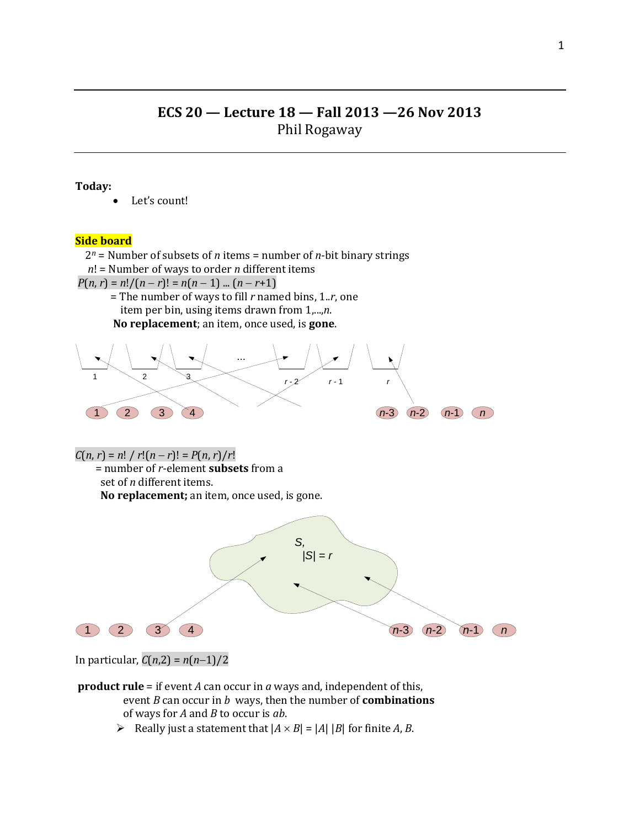# **ECS 20 — Lecture 18 — Fall 2013 —26 Nov 2013** Phil Rogaway

## **Today:**

Let's count!

## **Side board**

 2*<sup>n</sup>* = Number of subsets of *n* items = number of *n*-bit binary strings *n*! = Number of ways to order *n* different items  $P(n, r) = n!/(n - r)! = n(n - 1)$  ...  $(n - r + 1)$  = The number of ways to fill *r* named bins, 1..*r*, one item per bin, using items drawn from 1,...,*n*. **No replacement**; an item, once used, is **gone**. ... 1  $2 \times 2 \times 1$  *r*  $-2 \times 1$ 1 2 3 4 *n*-3 *n*-2 *n*-1 *n*  $C(n, r) = n! / r!(n - r)! = P(n, r)/r!$  = number of *r*-element **subsets** from a set of *n* different items. **No replacement;** an item, once used, is gone. 1 2 3 4 *n*-3 *n*-2 *n*-1 *n S,*  $|S| = r$ 

In particular,  $C(n,2) = n(n-1)/2$ 

**product rule** = if event *A* can occur in *a* ways and, independent of this, event *B* can occur in *b* ways, then the number of **combinations** of ways for *A* and *B* to occur is *ab*.

Really just a statement that  $|A \times B| = |A| |B|$  for finite *A*, *B*.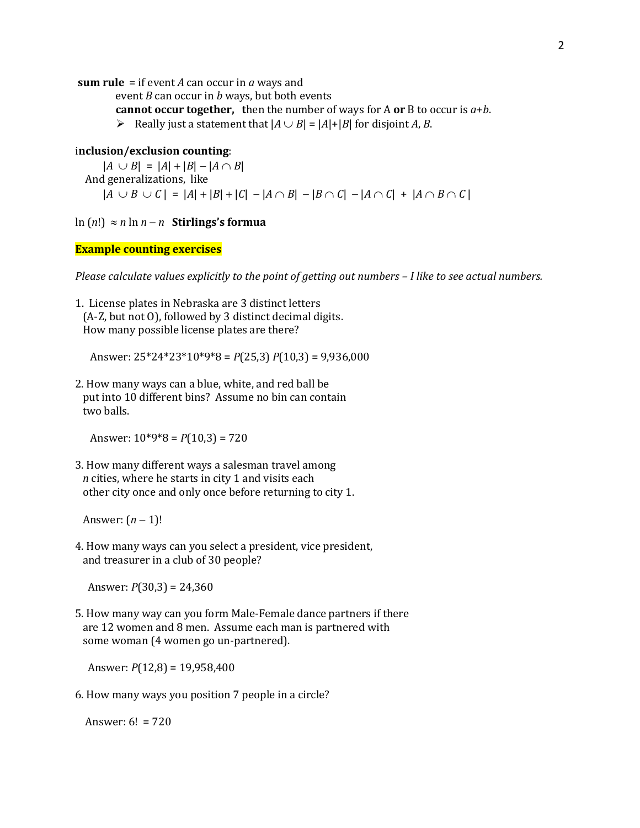**sum rule** = if event *A* can occur in *a* ways and

event *B* can occur in *b* ways, but both events

**cannot occur together, t**hen the number of ways for A **or** B to occur is *a*+*b*.

 $\triangleright$  Really just a statement that  $|A \cup B| = |A| + |B|$  for disjoint *A*, *B*.

## i**nclusion/exclusion counting**:

 $|A \cup B| = |A| + |B| - |A \cap B|$  And generalizations, like  $|A \cup B \cup C| = |A| + |B| + |C| - |A \cap B| - |B \cap C| - |A \cap C| + |A \cap B \cap C|$ 

ln  $(n!) \approx n \ln n - n$  Stirlings's formua

# **Example counting exercises**

*Please calculate values explicitly to the point of getting out numbers – I like to see actual numbers.*

1. License plates in Nebraska are 3 distinct letters (A-Z, but not O), followed by 3 distinct decimal digits. How many possible license plates are there?

Answer: 25\*24\*23\*10\*9\*8 = *P*(25,3) *P*(10,3) = 9,936,000

2. How many ways can a blue, white, and red ball be put into 10 different bins? Assume no bin can contain two balls.

Answer: 10\*9\*8 = *P*(10,3) = 720

3. How many different ways a salesman travel among *n* cities, where he starts in city 1 and visits each other city once and only once before returning to city 1.

Answer:  $(n-1)!$ 

4. How many ways can you select a president, vice president, and treasurer in a club of 30 people?

Answer: *P*(30,3) = 24,360

5. How many way can you form Male-Female dance partners if there are 12 women and 8 men. Assume each man is partnered with some woman (4 women go un-partnered).

Answer: *P*(12,8) = 19,958,400

6. How many ways you position 7 people in a circle?

Answer:  $6! = 720$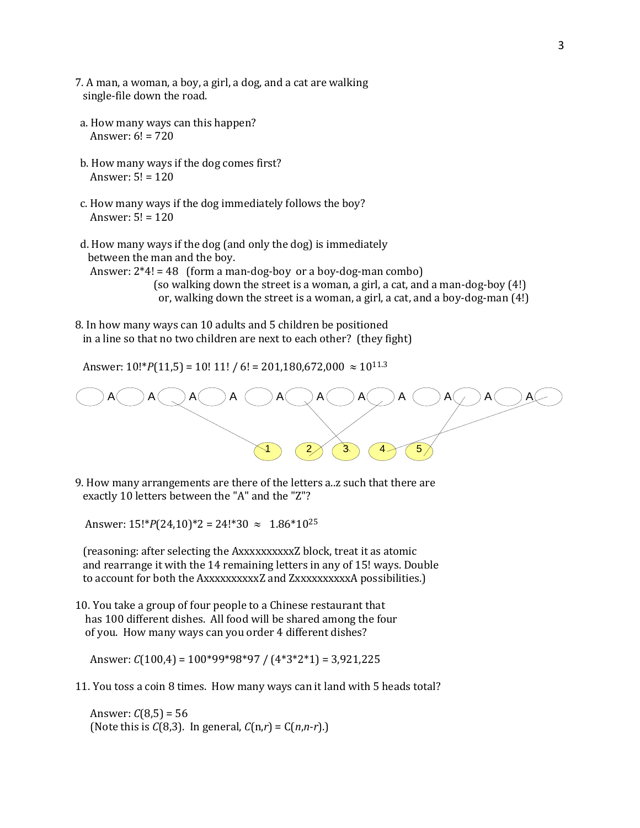- 7. A man, a woman, a boy, a girl, a dog, and a cat are walking single-file down the road.
- a. How many ways can this happen? Answer:  $6! = 720$
- b. How many ways if the dog comes first? Answer:  $5! = 120$
- c. How many ways if the dog immediately follows the boy? Answer: 5! = 120
- d. How many ways if the dog (and only the dog) is immediately between the man and the boy.

Answer:  $2*4! = 48$  (form a man-dog-boy or a boy-dog-man combo) (so walking down the street is a woman, a girl, a cat, and a man-dog-boy (4!) or, walking down the street is a woman, a girl, a cat, and a boy-dog-man (4!)

8. In how many ways can 10 adults and 5 children be positioned in a line so that no two children are next to each other? (they fight)

Answer:  $10!^{*}P(11,5) = 10!11! / 6! = 201,180,672,000 \approx 10^{11.3}$ 



9. How many arrangements are there of the letters a..z such that there are exactly 10 letters between the "A" and the "Z"?

Answer:  $15!^{*}P(24,10)^{*}2 = 24!^{*}30 \approx 1.86^{*}10^{25}$ 

 (reasoning: after selecting the AxxxxxxxxxxZ block, treat it as atomic and rearrange it with the 14 remaining letters in any of 15! ways. Double to account for both the AxxxxxxxxxxZ and ZxxxxxxxxxxA possibilities.)

10. You take a group of four people to a Chinese restaurant that has 100 different dishes. All food will be shared among the four of you. How many ways can you order 4 different dishes?

Answer: *C*(100,4) = 100\*99\*98\*97 / (4\*3\*2\*1) = 3,921,225

11. You toss a coin 8 times. How many ways can it land with 5 heads total?

Answer:  $C(8,5) = 56$ (Note this is *C*(8,3). In general, *C*(n,*r*) = C(*n*,*n*-*r*).)